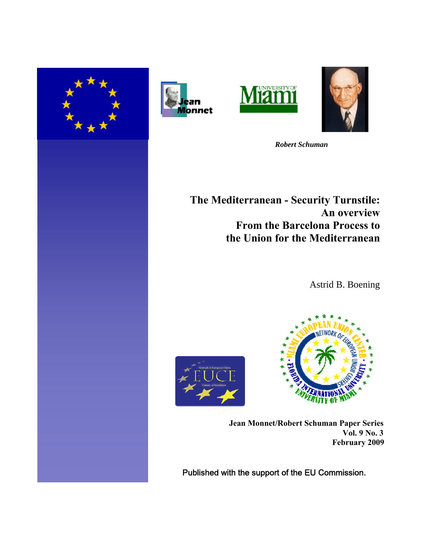







 *Robert Schuman* 

**The Mediterranean - Security Turnstile: An overview From the Barcelona Process to the Union for the Mediterranean**

Astrid B. Boening





**Jean Monnet/Robert Schuman Paper Series Vol. 9 No. 3 February 2009**

Published with the support of the EU Commission.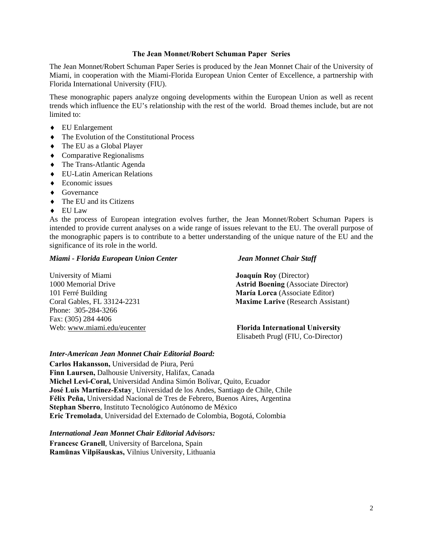## **The Jean Monnet/Robert Schuman Paper Series**

The Jean Monnet/Robert Schuman Paper Series is produced by the Jean Monnet Chair of the University of Miami, in cooperation with the Miami-Florida European Union Center of Excellence, a partnership with Florida International University (FIU).

These monographic papers analyze ongoing developments within the European Union as well as recent trends which influence the EU's relationship with the rest of the world. Broad themes include, but are not limited to:

- EU Enlargement
- The Evolution of the Constitutional Process
- $\triangleleft$  The EU as a Global Player
- Comparative Regionalisms
- The Trans-Atlantic Agenda
- EU-Latin American Relations
- $\triangle$  Economic issues
- ◆ Governance
- $\bullet$  The EU and its Citizens
- EU Law

As the process of European integration evolves further, the Jean Monnet/Robert Schuman Papers is intended to provide current analyses on a wide range of issues relevant to the EU. The overall purpose of the monographic papers is to contribute to a better understanding of the unique nature of the EU and the significance of its role in the world.

## *Miami - Florida European Union Center Jean Monnet Chair Staff*

University of Miami **Joaquín Roy** (Director) 101 Ferré Building **María Lorca** (Associate Editor) Phone: 305-284-3266 Fax: (305) 284 4406

1000 Memorial Drive **Astrid Boening** (Associate Director) Coral Gables, FL 33124-2231 **Maxime Larive** (Research Assistant)

Web: www.miami.edu/eucenter **Florida International University** Elisabeth Prugl (FIU, Co-Director)

## *Inter-American Jean Monnet Chair Editorial Board:*

**Carlos Hakansson,** Universidad de Piura, Perú **Finn Laursen,** Dalhousie University, Halifax, Canada **Michel Levi-Coral,** Universidad Andina Simón Bolívar, Quito, Ecuador **José Luis Martínez-Estay¸** Universidad de los Andes, Santiago de Chile, Chile **Félix Peña,** Universidad Nacional de Tres de Febrero, Buenos Aires, Argentina **Stephan Sberro**, Instituto Tecnológico Autónomo de México **Eric Tremolada**, Universidad del Externado de Colombia, Bogotá, Colombia

*International Jean Monnet Chair Editorial Advisors:* 

**Francesc Granell**, University of Barcelona, Spain **Ramūnas Vilpišauskas,** Vilnius University, Lithuania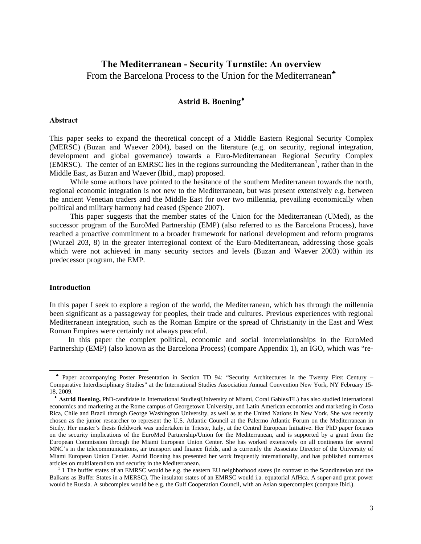# **The Mediterranean - Security Turnstile: An overview**  From the Barcelona Process to the Union for the Mediterranean<sup>\*</sup>

# **Astrid B. Boening**

#### **Abstract**

This paper seeks to expand the theoretical concept of a Middle Eastern Regional Security Complex (MERSC) (Buzan and Waever 2004), based on the literature (e.g. on security, regional integration, development and global governance) towards a Euro-Mediterranean Regional Security Complex (EMRSC). The center of an EMRSC lies in the regions surrounding the Mediterranean<sup>1</sup>, rather than in the Middle East, as Buzan and Waever (Ibid., map) proposed.

While some authors have pointed to the hesitance of the southern Mediterranean towards the north, regional economic integration is not new to the Mediterranean, but was present extensively e.g. between the ancient Venetian traders and the Middle East for over two millennia, prevailing economically when political and military harmony had ceased (Spence 2007).

This paper suggests that the member states of the Union for the Mediterranean (UMed), as the successor program of the EuroMed Partnership (EMP) (also referred to as the Barcelona Process), have reached a proactive commitment to a broader framework for national development and reform programs (Wurzel 203, 8) in the greater interregional context of the Euro-Mediterranean, addressing those goals which were not achieved in many security sectors and levels (Buzan and Waever 2003) within its predecessor program, the EMP.

## **Introduction**

 $\overline{a}$ 

In this paper I seek to explore a region of the world, the Mediterranean, which has through the millennia been significant as a passageway for peoples, their trade and cultures. Previous experiences with regional Mediterranean integration, such as the Roman Empire or the spread of Christianity in the East and West Roman Empires were certainly not always peaceful.

 In this paper the complex political, economic and social interrelationships in the EuroMed Partnership (EMP) (also known as the Barcelona Process) (compare Appendix 1), an IGO, which was "re-

 Paper accompanying Poster Presentation in Section TD 94: "Security Architectures in the Twenty First Century – Comparative Interdisciplinary Studies" at the International Studies Association Annual Convention New York, NY February 15- 18, 2009.

 **Astrid Boening,** PhD-candidate in International Studies(University of Miami, Coral Gables/FL) has also studied international economics and marketing at the Rome campus of Georgetown University, and Latin American economics and marketing in Costa Rica, Chile and Brazil through George Washington University, as well as at the United Nations in New York. She was recently chosen as the junior researcher to represent the U.S. Atlantic Council at the Palermo Atlantic Forum on the Mediterranean in Sicily. Her master's thesis fieldwork was undertaken in Trieste, Italy, at the Central European Initiative. Her PhD paper focuses on the security implications of the EuroMed Partnership/Union for the Mediterranean, and is supported by a grant from the European Commission through the Miami European Union Center. She has worked extensively on all continents for several MNC's in the telecommunications, air transport and finance fields, and is currently the Associate Director of the University of Miami European Union Center. Astrid Boening has presented her work frequently internationally, and has published numerous articles on multilateralism and security in the Mediterranean. 1

 $1$  I The buffer states of an EMRSC would be e.g. the eastern EU neighborhood states (in contrast to the Scandinavian and the Balkans as Buffer States in a MERSC). The insulator states of an EMRSC would i.a. equatorial AfHca. A super-and great power would be Russia. A subcomplex would be e.g. the Gulf Cooperation Council, with an Asian supercomplex (compare Ibid.).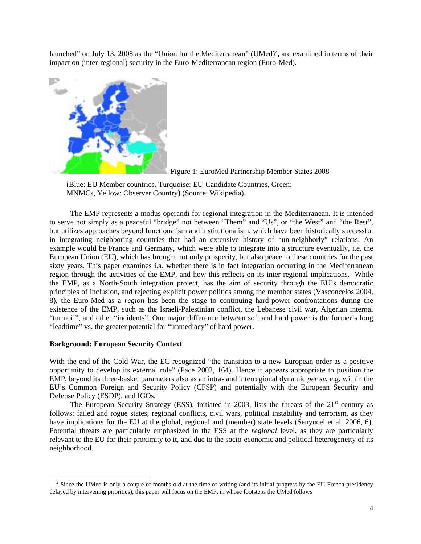launched" on July 13, 2008 as the "Union for the Mediterranean" (UMed)<sup>2</sup>, are examined in terms of their impact on (inter-regional) security in the Euro-Mediterranean region (Euro-Med).





 (Blue: EU Member countries, Turquoise: EU-Candidate Countries, Green: MNMCs, Yellow: Observer Country) (Source: Wikipedia).

 The EMP represents a modus operandi for regional integration in the Mediterranean. It is intended to serve not simply as a peaceful "bridge" not between "Them" and "Us", or "the West" and "the Rest", but utilizes approaches beyond functionalism and institutionalism, which have been historically successful in integrating neighboring countries that had an extensive history of "un-neighborly" relations. An example would be France and Germany, which were able to integrate into a structure eventually, i.e. the European Union (EU), which has brought not only prosperity, but also peace to these countries for the past sixty years. This paper examines i.a. whether there is in fact integration occurring in the Mediterranean region through the activities of the EMP, and how this reflects on its inter-regional implications. While the EMP, as a North-South integration project, has the aim of security through the EU's democratic principles of inclusion, and rejecting explicit power politics among the member states (Vasconcelos 2004, 8), the Euro-Med as a *region* has been the stage to continuing hard-power confrontations during the existence of the EMP, such as the Israeli-Palestinian conflict, the Lebanese civil war, Algerian internal "turmoil", and other "incidents". One major difference between soft and hard power is the former's long "leadtime" vs. the greater potential for "immediacy" of hard power.

## **Background: European Security Context**

 $\overline{a}$ 

With the end of the Cold War, the EC recognized "the transition to a new European order as a positive opportunity to develop its external role" (Pace 2003, 164). Hence it appears appropriate to position the EMP, beyond its three-basket parameters also as an intra- and interregional dynamic *per se,* e.g. within the EU's Common Foreign and Security Policy (CFSP) and potentially with the European Security and Defense Policy (ESDP). and IGOs.

The European Security Strategy (ESS), initiated in 2003, lists the threats of the  $21<sup>st</sup>$  century as follows: failed and rogue states, regional conflicts, civil wars, political instability and terrorism, as they have implications for the EU at the global, regional and (member) state levels (Senyucel et al. 2006, 6). Potential threats are particularly emphasized in the ESS at the *regional* level, as they are particularly relevant to the EU for their proximity to it, and due to the socio-economic and political heterogeneity of its neighborhood.

<sup>&</sup>lt;sup>2</sup> Since the UMed is only a couple of months old at the time of writing (and its initial progress by the EU French presidency delayed by intervening priorities), this paper will focus on the EMP, in whose footsteps the UMed follows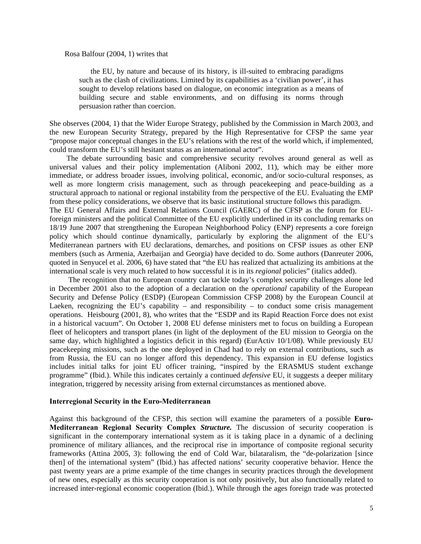#### Rosa Balfour (2004, 1) writes that

 the EU, by nature and because of its history, is ill-suited to embracing paradigms such as the clash of civilizations. Limited by its capabilities as a 'civilian power', it has sought to develop relations based on dialogue, on economic integration as a means of building secure and stable environments, and on diffusing its norms through persuasion rather than coercion.

She observes (2004, 1) that the Wider Europe Strategy, published by the Commission in March 2003, and the new European Security Strategy, prepared by the High Representative for CFSP the same year "propose major conceptual changes in the EU's relations with the rest of the world which, if implemented, could transform the EU's still hesitant status as an international actor".

 The debate surrounding basic and comprehensive security revolves around general as well as universal values and their policy implementation (Aliboni 2002, 11), which may be either more immediate, or address broader issues, involving political, economic, and/or socio-cultural responses, as well as more longterm crisis management, such as through peacekeeping and peace-building as a structural approach to national or regional instability from the perspective of the EU. Evaluating the EMP from these policy considerations, we observe that its basic institutional structure follows this paradigm. The EU General Affairs and External Relations Council (GAERC) of the CFSP as the forum for EUforeign ministers and the political Committee of the EU explicitly underlined in its concluding remarks on 18/19 June 2007 that strengthening the European Neighborhood Policy (ENP) represents a core foreign policy which should continue dynamically, particularly by exploring the alignment of the EU's Mediterranean partners with EU declarations, demarches, and positions on CFSP issues as other ENP members (such as Armenia, Azerbaijan and Georgia) have decided to do. Some authors (Danreuter 2006, quoted in Senyucel et al. 2006, 6) have stated that "the EU has realized that actualizing its ambitions at the international scale is very much related to how successful it is in its *regional* policies" (italics added).

 The recognition that no European country can tackle today's complex security challenges alone led in December 2001 also to the adoption of a declaration on the *operational* capability of the European Security and Defense Policy (ESDP) (European Commission CFSP 2008) by the European Council at Laeken, recognizing the EU's capability – and responsibility – to conduct some crisis management operations. Heisbourg (2001, 8), who writes that the "ESDP and its Rapid Reaction Force does not exist in a historical vacuum". On October 1, 2008 EU defense ministers met to focus on building a European fleet of helicopters and transport planes (in light of the deployment of the EU mission to Georgia on the same day, which highlighted a logistics deficit in this regard) (EurActiv 10/1/08). While previously EU peacekeeping missions, such as the one deployed in Chad had to rely on external contributions, such as from Russia, the EU can no longer afford this dependency. This expansion in EU defense logistics includes initial talks for joint EU officer training, "inspired by the ERASMUS student exchange programme" (Ibid.). While this indicates certainly a continued *defensive* EU, it suggests a deeper military integration, triggered by necessity arising from external circumstances as mentioned above.

## **Interregional Security in the Euro-Mediterranean**

Against this background of the CFSP, this section will examine the parameters of a possible **Euro-Mediterranean Regional Security Complex** *Structure.* The discussion of security cooperation is significant in the contemporary international system as it is taking place in a dynamic of a declining prominence of military alliances, and the reciprocal rise in importance of composite regional security frameworks (Attina 2005, 3): following the end of Cold War, bilataralism, the "de-polarization [since then] of the international system" (Ibid.) has affected nations' security cooperative behavior. Hence the past twenty years are a prime example of the time changes in security practices through the development of new ones, especially as this security cooperation is not only positively, but also functionally related to increased inter-regional economic cooperation (Ibid.). While through the ages foreign trade was protected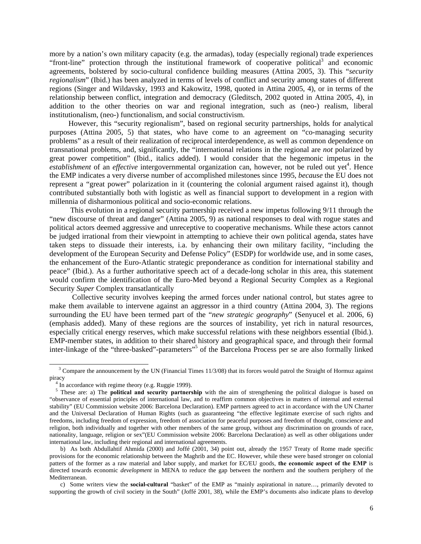more by a nation's own military capacity (e.g. the armadas), today (especially regional) trade experiences "front-line" protection through the institutional framework of cooperative political<sup>3</sup> and economic agreements, bolstered by socio-cultural confidence building measures (Attina 2005, 3). This "*security regionalism*" (Ibid.) has been analyzed in terms of levels of conflict and security among states of different regions (Singer and Wildavsky, 1993 and Kakowitz, 1998, quoted in Attina 2005, 4), or in terms of the relationship between conflict, integration and democracy (Gleditsch, 2002 quoted in Attina 2005, 4), in addition to the other theories on war and regional integration, such as (neo-) realism, liberal institutionalism, (neo-) functionalism, and social constructivism.

 However, this "security regionalism", based on regional security partnerships, holds for analytical purposes (Attina 2005, 5) that states, who have come to an agreement on "co-managing security problems" as a result of their realization of reciprocal interdependence, as well as common dependence on transnational problems, and, significantly, the "international relations in the regional are *not* polarized by great power competition" (Ibid., italics added). I would consider that the hegemonic impetus in the *establishment* of an *effective* intergovernmental organization can, however, not be ruled out yet<sup>4</sup>. Hence the EMP indicates a very diverse number of accomplished milestones since 1995, *because* the EU does not represent a "great power" polarization in it (countering the colonial argument raised against it), though contributed substantially both with logistic as well as financial support to development in a region with millennia of disharmonious political and socio-economic relations.

 This evolution in a regional security partnership received a new impetus following 9/11 through the "new discourse of threat and danger" (Attina 2005, 9) as national responses to deal with rogue states and political actors deemed aggressive and unreceptive to cooperative mechanisms. While these actors cannot be judged irrational from their viewpoint in attempting to achieve their own political agenda, states have taken steps to dissuade their interests, i.a. by enhancing their own military facility, "including the development of the European Security and Defense Policy" (ESDP) for worldwide use, and in some cases, the enhancement of the Euro-Atlantic strategic preponderance as condition for international stability and peace" (Ibid.). As a further authoritative speech act of a decade-long scholar in this area, this statement would confirm the identification of the Euro-Med beyond a Regional Security Complex as a Regional Security *Super* Complex transatlantically

 Collective security involves keeping the armed forces under national control, but states agree to make them available to intervene against an aggressor in a third country (Attina 2004, 3). The regions surrounding the EU have been termed part of the "*new strategic geography*" (Senyucel et al. 2006, 6) (emphasis added). Many of these regions are the sources of instability, yet rich in natural resources, especially critical energy reserves, which make successful relations with these neighbors essential (Ibid.). EMP-member states, in addition to their shared history and geographical space, and through their formal inter-linkage of the "three-basked"-parameters"<sup>5</sup> of the Barcelona Process per se are also formally linked

 $\overline{a}$ 

<sup>&</sup>lt;sup>3</sup> Compare the announcement by the UN (Financial Times 11/3/08) that its forces would patrol the Straight of Hormuz against piracy

<sup>&</sup>lt;sup>4</sup> In accordance with regime theory (e.g. Ruggie 1999).

<sup>&</sup>lt;sup>5</sup> These are: a) The **political and security partnership** with the aim of strengthening the political dialogue is based on "observance of essential principles of international law, and to reaffirm common objectives in matters of internal and external stability" (EU Commission website 2006: Barcelona Declaration). EMP partners agreed to act in accordance with the UN Charter and the Universal Declaration of Human Rights (such as guaranteeing "the effective legitimate exercise of such rights and freedoms, including freedom of expression, freedom of association for peaceful purposes and freedom of thought, conscience and religion, both individually and together with other members of the same group, without any discrimination on grounds of race, nationality, language, religion or sex"(EU Commission website 2006: Barcelona Declaration) as well as other obligations under international law, including their regional and international agreements.

b) As both Abdullahtif Ahmida (2000) and Joffé (2001, 34) point out, already the 1957 Treaty of Rome made specific provisions for the economic relationship between the Maghrib and the EC. However, while these were based stronger on colonial patters of the former as a raw material and labor supply, and market for EC/EU goods, **the economic aspect of the EMP** is directed towards economic *development* in MENA to reduce the gap between the northern and the southern periphery of the Mediterranean.

c) Some writers view the **social-cultural** "basket" of the EMP as "mainly aspirational in nature…, primarily devoted to supporting the growth of civil society in the South" (Joffé 2001, 38), while the EMP's documents also indicate plans to develop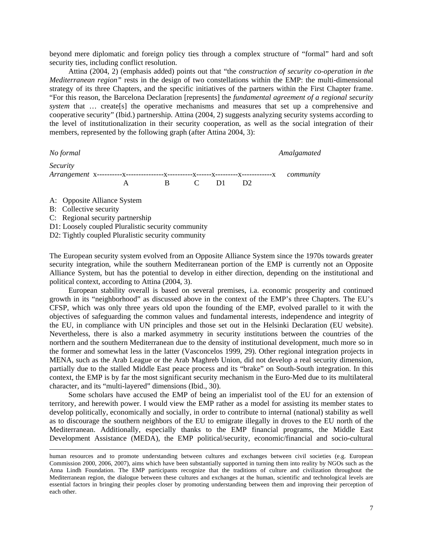beyond mere diplomatic and foreign policy ties through a complex structure of "formal" hard and soft security ties, including conflict resolution.

 Attina (2004, 2) (emphasis added) points out that "the *construction of security co-operation in the Mediterranean region"* rests in the design of two constellations within the EMP: the multi-dimensional strategy of its three Chapters, and the specific initiatives of the partners within the First Chapter frame. "For this reason, the Barcelona Declaration [represents] the *fundamental agreement of a regional security system* that ... create[s] the operative mechanisms and measures that set up a comprehensive and cooperative security" (Ibid.) partnership. Attina (2004, 2) suggests analyzing security systems according to the level of institutionalization in their security cooperation, as well as the social integration of their members, represented by the following graph (after Attina 2004, 3):

*No formal Amalgamated Amalgamated Amalgamated Amalgamated Amalgamated Amalgamated Amalgamated Amalgamated Amalgamated Amalgamated Amalgamated Amalgamated Amalgamated Amalgamated Amalgamated Security Arrangement* x----------x---------------x----------x------x---------x------------x *community* A B C D1 D2

A: Opposite Alliance System

B: Collective security

 $\overline{a}$ 

C: Regional security partnership

D1: Loosely coupled Pluralistic security community

D2: Tightly coupled Pluralistic security community

The European security system evolved from an Opposite Alliance System since the 1970s towards greater security integration, while the southern Mediterranean portion of the EMP is currently not an Opposite Alliance System, but has the potential to develop in either direction, depending on the institutional and political context, according to Attina (2004, 3).

 European stability overall is based on several premises, i.a. economic prosperity and continued growth in its "neighborhood" as discussed above in the context of the EMP's three Chapters. The EU's CFSP, which was only three years old upon the founding of the EMP, evolved parallel to it with the objectives of safeguarding the common values and fundamental interests, independence and integrity of the EU, in compliance with UN principles and those set out in the Helsinki Declaration (EU website). Nevertheless, there is also a marked asymmetry in security institutions between the countries of the northern and the southern Mediterranean due to the density of institutional development, much more so in the former and somewhat less in the latter (Vasconcelos 1999, 29). Other regional integration projects in MENA, such as the Arab League or the Arab Maghreb Union, did not develop a real security dimension, partially due to the stalled Middle East peace process and its "brake" on South-South integration. In this context, the EMP is by far the most significant security mechanism in the Euro-Med due to its multilateral character, and its "multi-layered" dimensions (Ibid., 30).

 Some scholars have accused the EMP of being an imperialist tool of the EU for an extension of territory, and herewith power. I would view the EMP rather as a model for assisting its member states to develop politically, economically and socially, in order to contribute to internal (national) stability as well as to discourage the southern neighbors of the EU to emigrate illegally in droves to the EU north of the Mediterranean. Additionally, especially thanks to the EMP financial programs, the Middle East Development Assistance (MEDA), the EMP political/security, economic/financial and socio-cultural

human resources and to promote understanding between cultures and exchanges between civil societies (e.g. European Commission 2000, 2006, 2007), aims which have been substantially supported in turning them into reality by NGOs such as the Anna Lindh Foundation. The EMP participants recognize that the traditions of culture and civilization throughout the Mediterranean region, the dialogue between these cultures and exchanges at the human, scientific and technological levels are essential factors in bringing their peoples closer by promoting understanding between them and improving their perception of each other.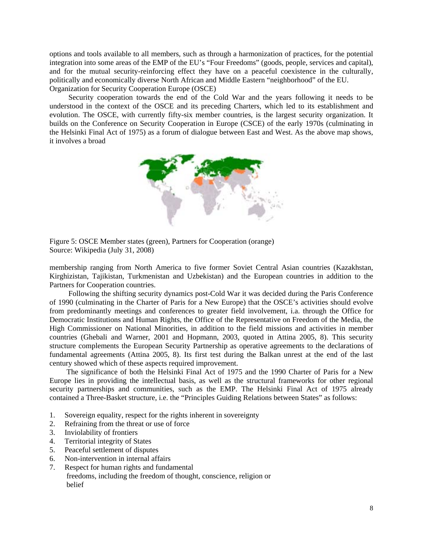options and tools available to all members, such as through a harmonization of practices, for the potential integration into some areas of the EMP of the EU's "Four Freedoms" (goods, people, services and capital), and for the mutual security-reinforcing effect they have on a peaceful coexistence in the culturally, politically and economically diverse North African and Middle Eastern "neighborhood" of the EU. Organization for Security Cooperation Europe (OSCE)

 Security cooperation towards the end of the Cold War and the years following it needs to be understood in the context of the OSCE and its preceding Charters, which led to its establishment and evolution. The OSCE, with currently fifty-six member countries, is the largest security organization. It builds on the Conference on Security Cooperation in Europe (CSCE) of the early 1970s (culminating in the Helsinki Final Act of 1975) as a forum of dialogue between East and West. As the above map shows, it involves a broad



Figure 5: OSCE Member states (green), Partners for Cooperation (orange) Source: Wikipedia (July 31, 2008)

membership ranging from North America to five former Soviet Central Asian countries (Kazakhstan, Kirghizistan, Tajikistan, Turkmenistan and Uzbekistan) and the European countries in addition to the Partners for Cooperation countries.

 Following the shifting security dynamics post-Cold War it was decided during the Paris Conference of 1990 (culminating in the Charter of Paris for a New Europe) that the OSCE's activities should evolve from predominantly meetings and conferences to greater field involvement, i.a. through the Office for Democratic Institutions and Human Rights, the Office of the Representative on Freedom of the Media, the High Commissioner on National Minorities, in addition to the field missions and activities in member countries (Ghebali and Warner, 2001 and Hopmann, 2003, quoted in Attina 2005, 8). This security structure complements the European Security Partnership as operative agreements to the declarations of fundamental agreements (Attina 2005, 8). Its first test during the Balkan unrest at the end of the last century showed which of these aspects required improvement.

 The significance of both the Helsinki Final Act of 1975 and the 1990 Charter of Paris for a New Europe lies in providing the intellectual basis, as well as the structural frameworks for other regional security partnerships and communities, such as the EMP. The Helsinki Final Act of 1975 already contained a Three-Basket structure, i.e. the "Principles Guiding Relations between States" as follows:

- 1. Sovereign equality, respect for the rights inherent in sovereignty
- 2. Refraining from the threat or use of force
- 3. Inviolability of frontiers
- 4. Territorial integrity of States
- 5. Peaceful settlement of disputes
- 6. Non-intervention in internal affairs
- 7. Respect for human rights and fundamental freedoms, including the freedom of thought, conscience, religion or belief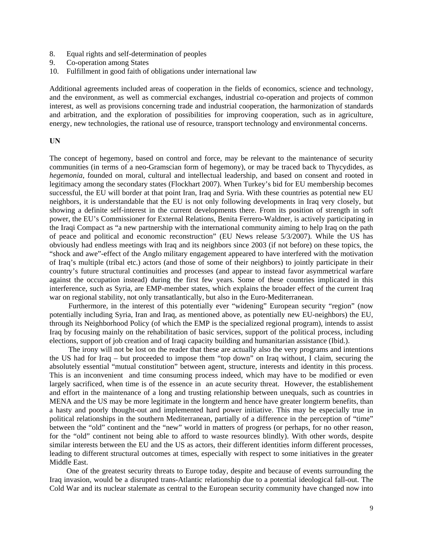- 8. Equal rights and self-determination of peoples
- 9. Co-operation among States
- 10. Fulfillment in good faith of obligations under international law

Additional agreements included areas of cooperation in the fields of economics, science and technology, and the environment, as well as commercial exchanges, industrial co-operation and projects of common interest, as well as provisions concerning trade and industrial cooperation, the harmonization of standards and arbitration, and the exploration of possibilities for improving cooperation, such as in agriculture, energy, new technologies, the rational use of resource, transport technology and environmental concerns.

#### **UN**

The concept of hegemony, based on control and force, may be relevant to the maintenance of security communities (in terms of a neo-Gramscian form of hegemony), or may be traced back to Thycydides, as *hegemonia*, founded on moral, cultural and intellectual leadership, and based on consent and rooted in legitimacy among the secondary states (Flockhart 2007). When Turkey's bid for EU membership becomes successful, the EU will border at that point Iran, Iraq and Syria. With these countries as potential new EU neighbors, it is understandable that the EU is not only following developments in Iraq very closely, but showing a definite self-interest in the current developments there. From its position of strength in soft power, the EU's Commissioner for External Relations, Benita Ferrero-Waldner, is actively participating in the Iraqi Compact as "a new partnership with the international community aiming to help Iraq on the path of peace and political and economic reconstruction" (EU News release 5/3/2007). While the US has obviously had endless meetings with Iraq and its neighbors since 2003 (if not before) on these topics, the "shock and awe"-effect of the Anglo military engagement appeared to have interfered with the motivation of Iraq's multiple (tribal etc.) actors (and those of some of their neighbors) to jointly participate in their country's future structural continuities and processes (and appear to instead favor asymmetrical warfare against the occupation instead) during the first few years. Some of these countries implicated in this interference, such as Syria, are EMP-member states, which explains the broader effect of the current Iraq war on regional stability, not only transatlantically, but also in the Euro-Mediterranean.

 Furthermore, in the interest of this potentially ever "widening" European security "region" (now potentially including Syria, Iran and Iraq, as mentioned above, as potentially new EU-neighbors) the EU, through its Neighborhood Policy (of which the EMP is the specialized regional program), intends to assist Iraq by focusing mainly on the rehabilitation of basic services, support of the political process, including elections, support of job creation and of Iraqi capacity building and humanitarian assistance (Ibid.).

 The irony will not be lost on the reader that these are actually also the very programs and intentions the US had for Iraq – but proceeded to impose them "top down" on Iraq without, I claim, securing the absolutely essential "mutual constitution" between agent, structure, interests and identity in this process. This is an inconvenient and time consuming process indeed, which may have to be modified or even largely sacrificed, when time is of the essence in an acute security threat. However, the establishement and effort in the maintenance of a long and trusting relationship between unequals, such as countries in MENA and the US may be more legitimate in the longterm and hence have greater longterm benefits, than a hasty and poorly thought-out and implemented hard power initiative. This may be especially true in political relationships in the southern Mediterranean, partially of a difference in the perception of "time" between the "old" continent and the "new" world in matters of progress (or perhaps, for no other reason, for the "old" continent not being able to afford to waste resources blindly). With other words, despite similar interests between the EU and the US as actors, their different identities inform different processes, leading to different structural outcomes at times, especially with respect to some initiatives in the greater Middle East.

 One of the greatest security threats to Europe today, despite and because of events surrounding the Iraq invasion, would be a disrupted trans-Atlantic relationship due to a potential ideological fall-out. The Cold War and its nuclear stalemate as central to the European security community have changed now into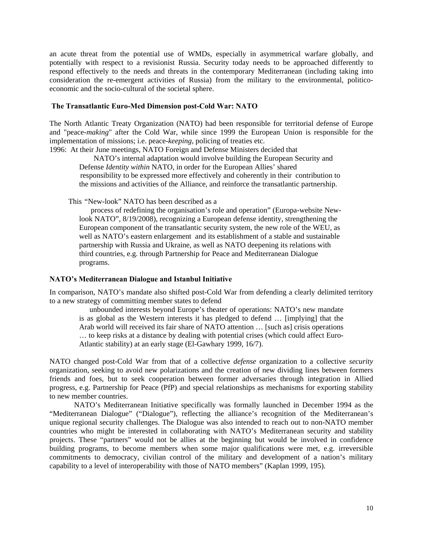an acute threat from the potential use of WMDs, especially in asymmetrical warfare globally, and potentially with respect to a revisionist Russia. Security today needs to be approached differently to respond effectively to the needs and threats in the contemporary Mediterranean (including taking into consideration the re-emergent activities of Russia) from the military to the environmental, politicoeconomic and the socio-cultural of the societal sphere.

## **The Transatlantic Euro-Med Dimension post-Cold War: NATO**

The North Atlantic Treaty Organization (NATO) had been responsible for territorial defense of Europe and "peace-*making*" after the Cold War, while since 1999 the European Union is responsible for the implementation of missions; i.e. peace-*keeping*, policing of treaties etc.

1996: At their June meetings, NATO Foreign and Defense Ministers decided that

 NATO's internal adaptation would involve building the European Security and Defense *Identity within* NATO, in order for the European Allies' shared responsibility to be expressed more effectively and coherently in their contribution to the missions and activities of the Alliance, and reinforce the transatlantic partnership.

This *"*New-look" NATO has been described as a

process of redefining the organisation's role and operation" (Europa-website Newlook NATO", 8/19/2008), recognizing a European defense identity, strengthening the European component of the transatlantic security system, the new role of the WEU, as well as NATO's eastern enlargement and its establishment of a stable and sustainable partnership with Russia and Ukraine, as well as NATO deepening its relations with third countries, e.g. through Partnership for Peace and Mediterranean Dialogue programs.

## **NATO's Mediterranean Dialogue and Istanbul Initiative**

In comparison, NATO's mandate also shifted post-Cold War from defending a clearly delimited territory to a new strategy of committing member states to defend

 unbounded interests beyond Europe's theater of operations: NATO's new mandate is as global as the Western interests it has pledged to defend … [implying] that the Arab world will received its fair share of NATO attention … [such as] crisis operations … to keep risks at a distance by dealing with potential crises (which could affect Euro-Atlantic stability) at an early stage (El-Gawhary 1999, 16/7).

NATO changed post-Cold War from that of a collective *defense* organization to a collective *security* organization, seeking to avoid new polarizations and the creation of new dividing lines between formers friends and foes, but to seek cooperation between former adversaries through integration in Allied progress, e.g. Partnership for Peace (PfP) and special relationships as mechanisms for exporting stability to new member countries.

 NATO's Mediterranean Initiative specifically was formally launched in December 1994 as the "Mediterranean Dialogue" ("Dialogue"), reflecting the alliance's recognition of the Mediterranean's unique regional security challenges. The Dialogue was also intended to reach out to non-NATO member countries who might be interested in collaborating with NATO's Mediterranean security and stability projects. These "partners" would not be allies at the beginning but would be involved in confidence building programs, to become members when some major qualifications were met, e.g. irreversible commitments to democracy, civilian control of the military and development of a nation's military capability to a level of interoperability with those of NATO members" (Kaplan 1999, 195).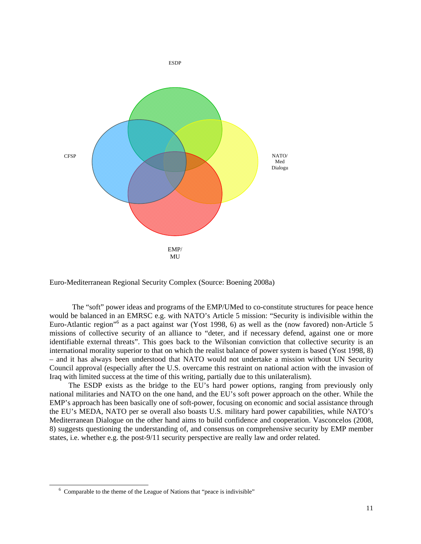

Euro-Mediterranean Regional Security Complex (Source: Boening 2008a)

 The "soft" power ideas and programs of the EMP/UMed to co-constitute structures for peace hence would be balanced in an EMRSC e.g. with NATO's Article 5 mission: "Security is indivisible within the Euro-Atlantic region"<sup>6</sup> as a pact against war (Yost 1998, 6) as well as the (now favored) non-Article 5 missions of collective security of an alliance to "deter, and if necessary defend, against one or more identifiable external threats". This goes back to the Wilsonian conviction that collective security is an international morality superior to that on which the realist balance of power system is based (Yost 1998, 8) – and it has always been understood that NATO would not undertake a mission without UN Security Council approval (especially after the U.S. overcame this restraint on national action with the invasion of Iraq with limited success at the time of this writing, partially due to this unilateralism).

 The ESDP exists as the bridge to the EU's hard power options, ranging from previously only national militaries and NATO on the one hand, and the EU's soft power approach on the other. While the EMP's approach has been basically one of soft-power, focusing on economic and social assistance through the EU's MEDA, NATO per se overall also boasts U.S. military hard power capabilities, while NATO's Mediterranean Dialogue on the other hand aims to build confidence and cooperation. Vasconcelos (2008, 8) suggests questioning the understanding of, and consensus on comprehensive security by EMP member states, i.e. whether e.g. the post-9/11 security perspective are really law and order related.

 $\overline{a}$ 

<sup>&</sup>lt;sup>6</sup> Comparable to the theme of the League of Nations that "peace is indivisible"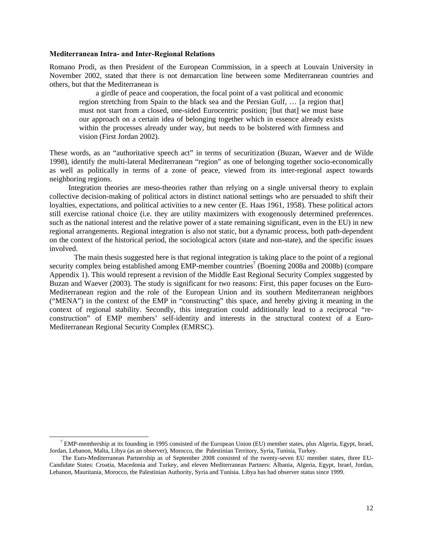#### **Mediterranean Intra- and Inter-Regional Relations**

 $\overline{a}$ 

Romano Prodi, as then President of the European Commission, in a speech at Louvain University in November 2002, stated that there is not demarcation line between some Mediterranean countries and others, but that the Mediterranean is

a girdle of peace and cooperation, the focal point of a vast political and economic region stretching from Spain to the black sea and the Persian Gulf, … [a region that] must not start from a closed, one-sided Eurocentric position; [but that] we must base our approach on a certain idea of belonging together which in essence already exists within the processes already under way, but needs to be bolstered with firmness and vision (First Jordan 2002).

These words, as an "authoritative speech act" in terms of securitization (Buzan, Waever and de Wilde 1998), identify the multi-lateral Mediterranean "region" as one of belonging together socio-economically as well as politically in terms of a zone of peace, viewed from its inter-regional aspect towards neighboring regions.

 Integration theories are meso-theories rather than relying on a single universal theory to explain collective decision-making of political actors in distinct national settings who are persuaded to shift their loyalties, expectations, and political activities to a new center (E. Haas 1961, 1958). These political actors still exercise rational choice (i.e. they are utility maximizers with exogenously determined preferences. such as the national interest and the relative power of a state remaining significant, even in the EU) in new regional arrangements. Regional integration is also not static, but a dynamic process, both path-dependent on the context of the historical period, the sociological actors (state and non-state), and the specific issues involved.

 The main thesis suggested here is that regional integration is taking place to the point of a regional security complex being established among EMP-member countries<sup>7</sup> (Boening 2008a and 2008b) (compare Appendix 1). This would represent a revision of the Middle East Regional Security Complex suggested by Buzan and Waever (2003). The study is significant for two reasons: First, this paper focuses on the Euro-Mediterranean region and the role of the European Union and its southern Mediterranean neighbors ("MENA") in the context of the EMP in "constructing" this space, and hereby giving it meaning in the context of regional stability. Secondly, this integration could additionally lead to a reciprocal "reconstruction" of EMP members' self-identity and interests in the structural context of a Euro-Mediterranean Regional Security Complex (EMRSC).

<sup>&</sup>lt;sup>7</sup> EMP-membership at its founding in 1995 consisted of the European Union (EU) member states, plus Algeria, Egypt, Israel, Jordan, Lebanon, Malta, Libya (as an observer), Morocco, the Palestinian Territory, Syria, Tunisia, Turkey.

The Euro-Mediterranean Partnership as of September 2008 consisted of the twenty-seven EU member states, three EU-Candidate States: Croatia, Macedonia and Turkey, and eleven Mediterranean Partners: Albania, Algeria, Egypt, Israel, Jordan, Lebanon, Mauritania, Morocco, the Palestinian Authority, Syria and Tunisia. Libya has had observer status since 1999.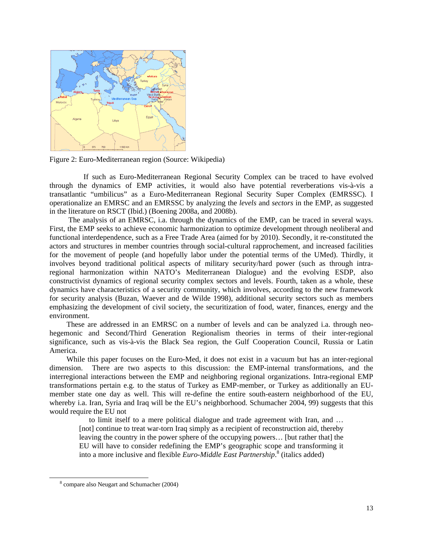

Figure 2: Euro-Mediterranean region (Source: Wikipedia)

 If such as Euro-Mediterranean Regional Security Complex can be traced to have evolved through the dynamics of EMP activities, it would also have potential reverberations vis-à-vis a transatlantic "umbilicus" as a Euro-Mediterranean Regional Security Super Complex (EMRSSC). I operationalize an EMRSC and an EMRSSC by analyzing the *levels* and *sectors* in the EMP, as suggested in the literature on RSCT (Ibid.) (Boening 2008a, and 2008b).

 The analysis of an EMRSC, i.a. through the dynamics of the EMP, can be traced in several ways. First, the EMP seeks to achieve economic harmonization to optimize development through neoliberal and functional interdependence, such as a Free Trade Area (aimed for by 2010). Secondly, it re-constituted the actors and structures in member countries through social-cultural rapprochement, and increased facilities for the movement of people (and hopefully labor under the potential terms of the UMed). Thirdly, it involves beyond traditional political aspects of military security/hard power (such as through intraregional harmonization within NATO's Mediterranean Dialogue) and the evolving ESDP, also constructivist dynamics of regional security complex sectors and levels. Fourth, taken as a whole, these dynamics have characteristics of a security community, which involves, according to the new framework for security analysis (Buzan, Waever and de Wilde 1998), additional security sectors such as members emphasizing the development of civil society, the securitization of food, water, finances, energy and the environment.

 These are addressed in an EMRSC on a number of levels and can be analyzed i.a. through neohegemonic and Second/Third Generation Regionalism theories in terms of their inter-regional significance, such as vis-à-vis the Black Sea region, the Gulf Cooperation Council, Russia or Latin America.

 While this paper focuses on the Euro-Med, it does not exist in a vacuum but has an inter-regional dimension. There are two aspects to this discussion: the EMP-internal transformations, and the interregional interactions between the EMP and neighboring regional organizations. Intra-regional EMP transformations pertain e.g. to the status of Turkey as EMP-member, or Turkey as additionally an EUmember state one day as well. This will re-define the entire south-eastern neighborhood of the EU, whereby i.a. Iran, Syria and Iraq will be the EU's neighborhood. Schumacher 2004, 99) suggests that this would require the EU not

to limit itself to a mere political dialogue and trade agreement with Iran, and … [not] continue to treat war-torn Iraq simply as a recipient of reconstruction aid, thereby leaving the country in the power sphere of the occupying powers… [but rather that] the EU will have to consider redefining the EMP's geographic scope and transforming it into a more inclusive and flexible *Euro-Middle East Partnership*. 8 (italics added)

 $\overline{a}$ 

 <sup>8</sup> compare also Neugart and Schumacher (2004)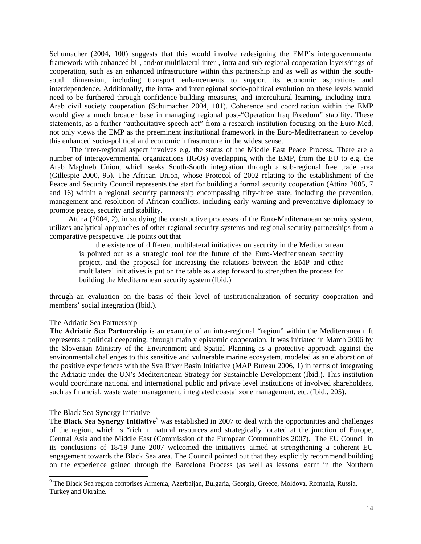Schumacher (2004, 100) suggests that this would involve redesigning the EMP's intergovernmental framework with enhanced bi-, and/or multilateral inter-, intra and sub-regional cooperation layers/rings of cooperation, such as an enhanced infrastructure within this partnership and as well as within the southsouth dimension, including transport enhancements to support its economic aspirations and interdependence. Additionally, the intra- and interregional socio-political evolution on these levels would need to be furthered through confidence-building measures, and intercultural learning, including intra-Arab civil society cooperation (Schumacher 2004, 101). Coherence and coordination within the EMP would give a much broader base in managing regional post-"Operation Iraq Freedom" stability. These statements, as a further "authoritative speech act" from a research institution focusing on the Euro-Med, not only views the EMP as the preeminent institutional framework in the Euro-Mediterranean to develop this enhanced socio-political and economic infrastructure in the widest sense.

 The inter-regional aspect involves e.g. the status of the Middle East Peace Process. There are a number of intergovernmental organizations (IGOs) overlapping with the EMP, from the EU to e.g. the Arab Maghreb Union, which seeks South-South integration through a sub-regional free trade area (Gillespie 2000, 95). The African Union, whose Protocol of 2002 relating to the establishment of the Peace and Security Council represents the start for building a formal security cooperation (Attina 2005, 7 and 16) within a regional security partnership encompassing fifty-three state, including the prevention, management and resolution of African conflicts, including early warning and preventative diplomacy to promote peace, security and stability.

 Attina (2004, 2), in studying the constructive processes of the Euro-Mediterranean security system, utilizes analytical approaches of other regional security systems and regional security partnerships from a comparative perspective. He points out that

 the existence of different multilateral initiatives on security in the Mediterranean is pointed out as a strategic tool for the future of the Euro-Mediterranean security project, and the proposal for increasing the relations between the EMP and other multilateral initiatives is put on the table as a step forward to strengthen the process for building the Mediterranean security system (Ibid.)

through an evaluation on the basis of their level of institutionalization of security cooperation and members' social integration (Ibid.).

## The Adriatic Sea Partnership

**The Adriatic Sea Partnership** is an example of an intra-regional "region" within the Mediterranean. It represents a political deepening, through mainly epistemic cooperation. It was initiated in March 2006 by the Slovenian Ministry of the Environment and Spatial Planning as a protective approach against the environmental challenges to this sensitive and vulnerable marine ecosystem, modeled as an elaboration of the positive experiences with the Sva River Basin Initiative (MAP Bureau 2006, 1) in terms of integrating the Adriatic under the UN's Mediterranean Strategy for Sustainable Development (Ibid.). This institution would coordinate national and international public and private level institutions of involved shareholders, such as financial, waste water management, integrated coastal zone management, etc. (Ibid., 205).

## The Black Sea Synergy Initiative

 $\overline{a}$ 

The **Black Sea Synergy Initiative**<sup>9</sup> was established in 2007 to deal with the opportunities and challenges of the region, which is "rich in natural resources and strategically located at the junction of Europe, Central Asia and the Middle East (Commission of the European Communities 2007). The EU Council in its conclusions of 18/19 June 2007 welcomed the initiatives aimed at strengthening a coherent EU engagement towards the Black Sea area. The Council pointed out that they explicitly recommend building on the experience gained through the Barcelona Process (as well as lessons learnt in the Northern

<sup>&</sup>lt;sup>9</sup> The Black Sea region comprises Armenia, Azerbaijan, Bulgaria, Georgia, Greece, Moldova, Romania, Russia, Turkey and Ukraine.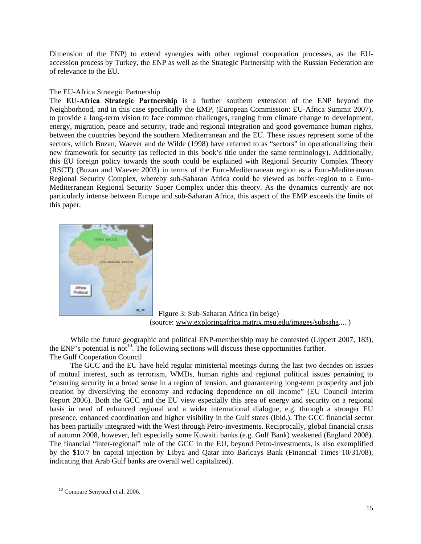Dimension of the ENP) to extend synergies with other regional cooperation processes, as the EUaccession process by Turkey, the ENP as well as the Strategic Partnership with the Russian Federation are of relevance to the EU.

## The EU-Africa Strategic Partnership

The **EU-Africa Strategic Partnership** is a further southern extension of the ENP beyond the Neighborhood, and in this case specifically the EMP, (European Commission: EU-Africa Summit 2007), to provide a long-term vision to face common challenges, ranging from climate change to development, energy, migration, peace and security, trade and regional integration and good governance human rights, between the countries beyond the southern Mediterranean and the EU. These issues represent some of the sectors, which Buzan, Waever and de Wilde (1998) have referred to as "sectors" in operationalizing their new framework for security (as reflected in this book's title under the same terminology). Additionally, this EU foreign policy towards the south could be explained with Regional Security Complex Theory (RSCT) (Buzan and Waever 2003) in terms of the Euro-Mediterranean region as a Euro-Mediteranean Regional Security Complex, whereby sub-Saharan Africa could be viewed as buffer-region to a Euro-Mediterranean Regional Security Super Complex under this theory. As the dynamics currently are not particularly intense between Europe and sub-Saharan Africa, this aspect of the EMP exceeds the limits of this paper.



Figure 3: Sub-Saharan Africa (in beige) (source: www.exploringafrica.matrix.msu.edu/images/subsaha.... )

 While the future geographic and political ENP-membership may be contested (Lippert 2007, 183), the ENP's potential is not<sup>10</sup>. The following sections will discuss these opportunities further. The Gulf Cooperation Council

 The GCC and the EU have held regular ministerial meetings during the last two decades on issues of mutual interest, such as terrorism, WMDs, human rights and regional political issues pertaining to "ensuring security in a broad sense in a region of tension, and guaranteeing long-term prosperity and job creation by diversifying the economy and reducing dependence on oil income" (EU Council Interim Report 2006). Both the GCC and the EU view especially this area of energy and security on a regional basis in need of enhanced regional and a wider international dialogue, e.g. through a stronger EU presence, enhanced coordination and higher visibility in the Gulf states (Ibid.). The GCC financial sector has been partially integrated with the West through Petro-investments. Reciprocally, global financial crisis of autumn 2008, however, left especially some Kuwaiti banks (e.g. Gulf Bank) weakened (England 2008). The financial "inter-regional" role of the GCC in the EU, beyond Petro-investments, is also exemplified by the \$10.7 bn capital injection by Libya and Qatar into Barlcays Bank (Financial Times 10/31/08), indicating that Arab Gulf banks are overall well capitalized).

 $\overline{a}$ 

<sup>&</sup>lt;sup>10</sup> Compare Senyucel et al. 2006.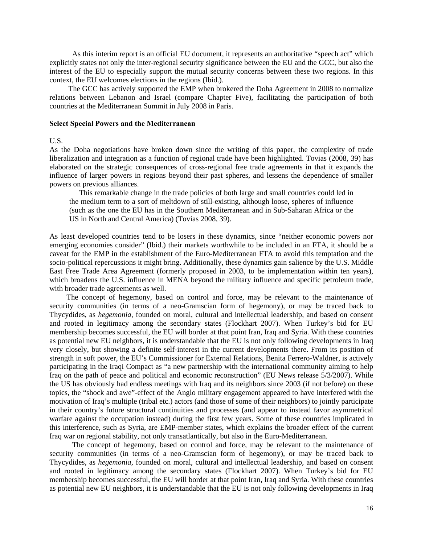As this interim report is an official EU document, it represents an authoritative "speech act" which explicitly states not only the inter-regional security significance between the EU and the GCC, but also the interest of the EU to especially support the mutual security concerns between these two regions. In this context, the EU welcomes elections in the regions (Ibid.).

 The GCC has actively supported the EMP when brokered the Doha Agreement in 2008 to normalize relations between Lebanon and Israel (compare Chapter Five), facilitating the participation of both countries at the Mediterranean Summit in July 2008 in Paris.

#### **Select Special Powers and the Mediterranean**

#### U.S.

As the Doha negotiations have broken down since the writing of this paper, the complexity of trade liberalization and integration as a function of regional trade have been highlighted. Tovias (2008, 39) has elaborated on the strategic consequences of cross-regional free trade agreements in that it expands the influence of larger powers in regions beyond their past spheres, and lessens the dependence of smaller powers on previous alliances.

This remarkable change in the trade policies of both large and small countries could led in the medium term to a sort of meltdown of still-existing, although loose, spheres of influence (such as the one the EU has in the Southern Mediterranean and in Sub-Saharan Africa or the US in North and Central America) (Tovias 2008, 39).

As least developed countries tend to be losers in these dynamics, since "neither economic powers nor emerging economies consider" (Ibid.) their markets worthwhile to be included in an FTA, it should be a caveat for the EMP in the establishment of the Euro-Mediterranean FTA to avoid this temptation and the socio-political repercussions it might bring. Additionally, these dynamics gain salience by the U.S. Middle East Free Trade Area Agreement (formerly proposed in 2003, to be implementation within ten years), which broadens the U.S. influence in MENA beyond the military influence and specific petroleum trade, with broader trade agreements as well.

 The concept of hegemony, based on control and force, may be relevant to the maintenance of security communities (in terms of a neo-Gramscian form of hegemony), or may be traced back to Thycydides, as *hegemonia*, founded on moral, cultural and intellectual leadership, and based on consent and rooted in legitimacy among the secondary states (Flockhart 2007). When Turkey's bid for EU membership becomes successful, the EU will border at that point Iran, Iraq and Syria. With these countries as potential new EU neighbors, it is understandable that the EU is not only following developments in Iraq very closely, but showing a definite self-interest in the current developments there. From its position of strength in soft power, the EU's Commissioner for External Relations, Benita Ferrero-Waldner, is actively participating in the Iraqi Compact as "a new partnership with the international community aiming to help Iraq on the path of peace and political and economic reconstruction" (EU News release 5/3/2007). While the US has obviously had endless meetings with Iraq and its neighbors since 2003 (if not before) on these topics, the "shock and awe"-effect of the Anglo military engagement appeared to have interfered with the motivation of Iraq's multiple (tribal etc.) actors (and those of some of their neighbors) to jointly participate in their country's future structural continuities and processes (and appear to instead favor asymmetrical warfare against the occupation instead) during the first few years. Some of these countries implicated in this interference, such as Syria, are EMP-member states, which explains the broader effect of the current Iraq war on regional stability, not only transatlantically, but also in the Euro-Mediterranean.

 The concept of hegemony, based on control and force, may be relevant to the maintenance of security communities (in terms of a neo-Gramscian form of hegemony), or may be traced back to Thycydides, as *hegemonia*, founded on moral, cultural and intellectual leadership, and based on consent and rooted in legitimacy among the secondary states (Flockhart 2007). When Turkey's bid for EU membership becomes successful, the EU will border at that point Iran, Iraq and Syria. With these countries as potential new EU neighbors, it is understandable that the EU is not only following developments in Iraq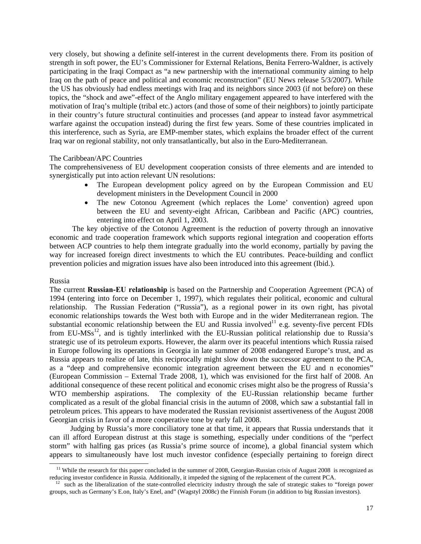very closely, but showing a definite self-interest in the current developments there. From its position of strength in soft power, the EU's Commissioner for External Relations, Benita Ferrero-Waldner, is actively participating in the Iraqi Compact as "a new partnership with the international community aiming to help Iraq on the path of peace and political and economic reconstruction" (EU News release 5/3/2007). While the US has obviously had endless meetings with Iraq and its neighbors since 2003 (if not before) on these topics, the "shock and awe"-effect of the Anglo military engagement appeared to have interfered with the motivation of Iraq's multiple (tribal etc.) actors (and those of some of their neighbors) to jointly participate in their country's future structural continuities and processes (and appear to instead favor asymmetrical warfare against the occupation instead) during the first few years. Some of these countries implicated in this interference, such as Syria, are EMP-member states, which explains the broader effect of the current Iraq war on regional stability, not only transatlantically, but also in the Euro-Mediterranean.

## The Caribbean/APC Countries

The comprehensiveness of EU development cooperation consists of three elements and are intended to synergistically put into action relevant UN resolutions:

- The European development policy agreed on by the European Commission and EU development ministers in the Development Council in 2000
- The new Cotonou Agreement (which replaces the Lome' convention) agreed upon between the EU and seventy-eight African, Caribbean and Pacific (APC) countries, entering into effect on April 1, 2003.

 The key objective of the Cotonou Agreement is the reduction of poverty through an innovative economic and trade cooperation framework which supports regional integration and cooperation efforts between ACP countries to help them integrate gradually into the world economy, partially by paving the way for increased foreign direct investments to which the EU contributes. Peace-building and conflict prevention policies and migration issues have also been introduced into this agreement (Ibid.).

## Russia

 $\overline{a}$ 

The current **Russian-EU relationship** is based on the Partnership and Cooperation Agreement (PCA) of 1994 (entering into force on December 1, 1997), which regulates their political, economic and cultural relationship. The Russian Federation ("Russia"), as a regional power in its own right, has pivotal economic relationships towards the West both with Europe and in the wider Mediterranean region. The substantial economic relationship between the EU and Russia involved<sup>11</sup> e.g. seventy-five percent FDIs from  $EU-MSS<sup>12</sup>$ , and is tightly interlinked with the EU-Russian political relationship due to Russia's strategic use of its petroleum exports. However, the alarm over its peaceful intentions which Russia raised in Europe following its operations in Georgia in late summer of 2008 endangered Europe's trust, and as Russia appears to realize of late, this reciprocally might slow down the successor agreement to the PCA, as a "deep and comprehensive economic integration agreement between the EU and n economies" (European Commission – External Trade 2008, 1), which was envisioned for the first half of 2008. An additional consequence of these recent political and economic crises might also be the progress of Russia's WTO membership aspirations. The complexity of the EU-Russian relationship became further complicated as a result of the global financial crisis in the autumn of 2008, which saw a substantial fall in petroleum prices. This appears to have moderated the Russian revisionist assertiveness of the August 2008 Georgian crisis in favor of a more cooperative tone by early fall 2008.

 Judging by Russia's more conciliatory tone at that time, it appears that Russia understands that it can ill afford European distrust at this stage is something, especially under conditions of the "perfect storm" with halfing gas prices (as Russia's prime source of income), a global financial system which appears to simultaneously have lost much investor confidence (especially pertaining to foreign direct

<sup>&</sup>lt;sup>11</sup> While the research for this paper concluded in the summer of 2008, Georgian-Russian crisis of August 2008 is recognized as reducing investor confidence in Russia. Additionally, it impeded the signing of the replacement of the current PCA.

such as the liberalization of the state-controlled electricity industry through the sale of strategic stakes to "foreign power groups, such as Germany's E.on, Italy's Enel, and" (Wagstyl 2008c) the Finnish Forum (in addition to big Russian investors).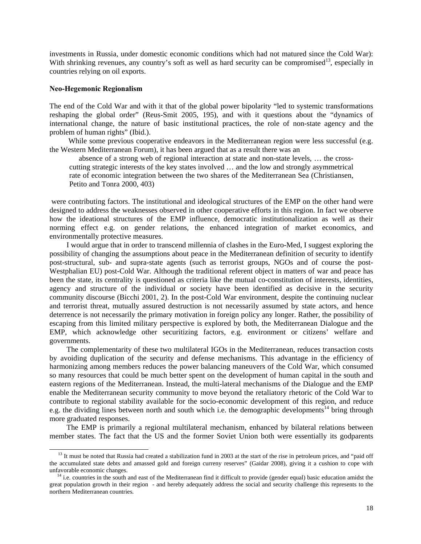investments in Russia, under domestic economic conditions which had not matured since the Cold War): With shrinking revenues, any country's soft as well as hard security can be compromised<sup>13</sup>, especially in countries relying on oil exports.

#### **Neo-Hegemonic Regionalism**

 $\overline{a}$ 

The end of the Cold War and with it that of the global power bipolarity "led to systemic transformations reshaping the global order" (Reus-Smit 2005, 195), and with it questions about the "dynamics of international change, the nature of basic institutional practices, the role of non-state agency and the problem of human rights" (Ibid.).

While some previous cooperative endeavors in the Mediterranean region were less successful (e.g. the Western Mediterranean Forum), it has been argued that as a result there was an

 absence of a strong web of regional interaction at state and non-state levels, … the crosscutting strategic interests of the key states involved … and the low and strongly asymmetrical rate of economic integration between the two shares of the Mediterranean Sea (Christiansen, Petito and Tonra 2000, 403)

 were contributing factors. The institutional and ideological structures of the EMP on the other hand were designed to address the weaknesses observed in other cooperative efforts in this region. In fact we observe how the ideational structures of the EMP influence, democratic institutionalization as well as their norming effect e.g. on gender relations, the enhanced integration of market economics, and environmentally protective measures.

 I would argue that in order to transcend millennia of clashes in the Euro-Med, I suggest exploring the possibility of changing the assumptions about peace in the Mediterranean definition of security to identify post-structural, sub- and supra-state agents (such as terrorist groups, NGOs and of course the post-Westphalian EU) post-Cold War. Although the traditional referent object in matters of war and peace has been the state, its centrality is questioned as criteria like the mutual co-constitution of interests, identities, agency and structure of the individual or society have been identified as decisive in the security community discourse (Bicchi 2001, 2). In the post-Cold War environment, despite the continuing nuclear and terrorist threat, mutually assured destruction is not necessarily assumed by state actors, and hence deterrence is not necessarily the primary motivation in foreign policy any longer. Rather, the possibility of escaping from this limited military perspective is explored by both, the Mediterranean Dialogue and the EMP, which acknowledge other securitizing factors, e.g. environment or citizens' welfare and governments.

 The complementarity of these two multilateral IGOs in the Mediterranean, reduces transaction costs by avoiding duplication of the security and defense mechanisms. This advantage in the efficiency of harmonizing among members reduces the power balancing maneuvers of the Cold War, which consumed so many resources that could be much better spent on the development of human capital in the south and eastern regions of the Mediterranean. Instead, the multi-lateral mechanisms of the Dialogue and the EMP enable the Mediterranean security community to move beyond the retaliatory rhetoric of the Cold War to contribute to regional stability available for the socio-economic development of this region, and reduce e.g. the dividing lines between north and south which i.e. the demographic developments<sup>14</sup> bring through more graduated responses.

 The EMP is primarily a regional multilateral mechanism, enhanced by bilateral relations between member states. The fact that the US and the former Soviet Union both were essentially its godparents

<sup>&</sup>lt;sup>13</sup> It must be noted that Russia had created a stabilization fund in 2003 at the start of the rise in petroleum prices, and "paid off the accumulated state debts and amassed gold and foreign curreny reserves" (Gaidar 2008), giving it a cushion to cope with unfavorable economic changes.

<sup>&</sup>lt;sup>14</sup> i.e. countries in the south and east of the Mediterranean find it difficult to provide (gender equal) basic education amidst the great population growth in their region - and hereby adequately address the social and security challenge this represents to the northern Mediterranean countries.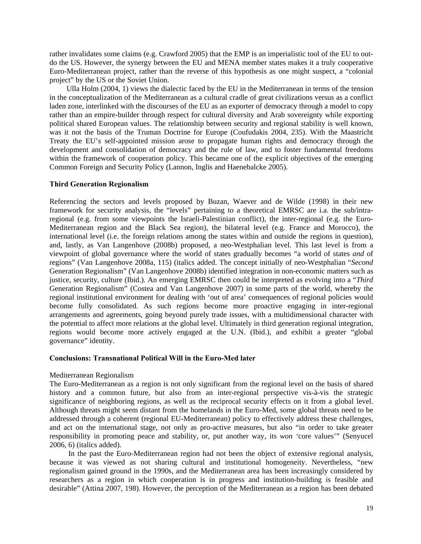rather invalidates some claims (e.g. Crawford 2005) that the EMP is an imperialistic tool of the EU to outdo the US. However, the synergy between the EU and MENA member states makes it a truly cooperative Euro-Mediterranean project, rather than the reverse of this hypothesis as one might suspect, a "colonial project" by the US or the Soviet Union.

 Ulla Holm (2004, 1) views the dialectic faced by the EU in the Mediterranean in terms of the tension in the conceptualization of the Mediterranean as a cultural cradle of great civilizations versus as a conflict laden zone, interlinked with the discourses of the EU as an exporter of democracy through a model to copy rather than an empire-builder through respect for cultural diversity and Arab sovereignty while exporting political shared European values. The relationship between security and regional stability is well known, was it not the basis of the Truman Doctrine for Europe (Coufudakis 2004, 235). With the Maastricht Treaty the EU's self-appointed mission arose to propagate human rights and democracy through the development and consolidation of democracy and the rule of law, and to foster fundamental freedoms within the framework of cooperation policy. This became one of the explicit objectives of the emerging Common Foreign and Security Policy (Lannon, Inglis and Haenebalcke 2005).

## **Third Generation Regionalism**

Referencing the sectors and levels proposed by Buzan, Waever and de Wilde (1998) in their new framework for security analysis, the "levels" pertaining to a theoretical EMRSC are i.a. the sub/intraregional (e.g. from some viewpoints the Israeli-Palestinian conflict), the inter-regional (e.g. the Euro-Mediterranean region and the Black Sea region), the bilateral level (e.g. France and Morocco), the international level (i.e. the foreign relations among the states within and outside the regions in question), and, lastly, as Van Langenhove (2008b) proposed, a neo-Westphalian level. This last level is from a viewpoint of global governance where the world of states gradually becomes "a world of states *and* of regions" (Van Langenhove 2008a, 115) (italics added. The concept initially of neo-Westphalian "*Second* Generation Regionalism" (Van Langenhove 2008b) identified integration in non-economic matters such as justice, security, culture (Ibid.). An emerging EMRSC then could be interpreted as evolving into a "*Third* Generation Regionalism" (Costea and Van Langenhove 2007) in some parts of the world, whereby the regional institutional environment for dealing with 'out of area' consequences of regional policies would become fully consolidated. As such regions become more proactive engaging in inter-regional arrangements and agreements, going beyond purely trade issues, with a multidimensional character with the potential to affect more relations at the global level. Ultimately in third generation regional integration, regions would become more actively engaged at the U.N. (Ibid.), and exhibit a greater "global governance" identity.

## **Conclusions: Transnational Political Will in the Euro-Med later**

## Mediterranean Regionalism

The Euro-Mediterranean as a region is not only significant from the regional level on the basis of shared history and a common future, but also from an inter-regional perspective vis-à-vis the strategic significance of neighboring regions, as well as the reciprocal security effects on it from a global level. Although threats might seem distant from the homelands in the Euro-Med, some global threats need to be addressed through a coherent (regional EU-Mediterranean) policy to effectively address these challenges, and act on the international stage, not only as pro-active measures, but also "in order to take greater responsibility in promoting peace and stability, or, put another way, its *won '*core values'" (Senyucel 2006, 6) (italics added).

 In the past the Euro-Mediterranean region had not been the object of extensive regional analysis, because it was viewed as not sharing cultural and institutional homogeneity. Nevertheless, "new regionalism gained ground in the 1990s, and the Mediterranean area has been increasingly considered by researchers as a region in which cooperation is in progress and institution-building is feasible and desirable" (Attina 2007, 198). However, the perception of the Mediterranean as a region has been debated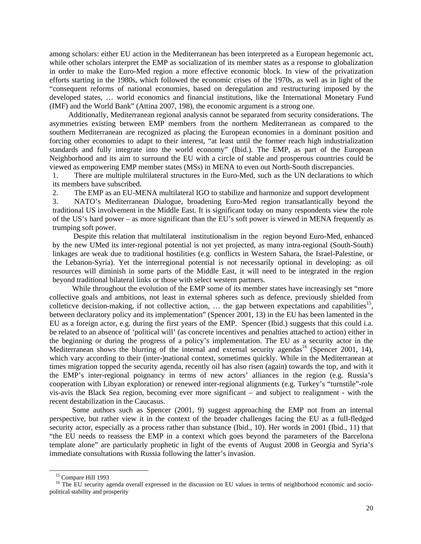among scholars: either EU action in the Mediterranean has been interpreted as a European hegemonic act, while other scholars interpret the EMP as socialization of its member states as a response to globalization in order to make the Euro-Med region a more effective economic block. In view of the privatization efforts starting in the 1980s, which followed the economic crises of the 1970s, as well as in light of the "consequent reforms of national economies, based on deregulation and restructuring imposed by the developed states, … world economics and financial institutions, like the International Monetary Fund (IMF) and the World Bank" (Attina 2007, 198), the economic argument is a strong one.

 Additionally, Mediterranean regional analysis cannot be separated from security considerations. The asymmetries existing between EMP members from the northern Mediterranean as compared to the southern Mediterranean are recognized as placing the European economies in a dominant position and forcing other economies to adapt to their interest, "at least until the former reach high industrialization standards and fully integrate into the world economy" (Ibid.). The EMP, as part of the European Neighborhood and its aim to surround the EU with a circle of stable and prosperous countries could be viewed as empowering EMP member states (MSs) in MENA to even out North-South discrepancies.

1. There are multiple multilateral structures in the Euro-Med, such as the UN declarations to which its members have subscribed.

2. The EMP as an EU-MENA multilateral IGO to stabilize and harmonize and support development

3. NATO's Mediterranean Dialogue, broadening Euro-Med region transatlantically beyond the traditional US involvement in the Middle East. It is significant today on many respondents view the role of the US's hard power – as more significant than the EU's soft power is viewed in MENA frequently as trumping soft power.

 Despite this relation that multilateral institutionalism in the region beyond Euro-Med, enhanced by the new UMed its inter-regional potential is not yet projected, as many intra-regional (South-South) linkages are weak due to traditional hostilities (e.g. conflicts in Western Sahara, the Israel-Palestine, or the Lebanon-Syria). Yet the interregional potential is not necessarily optional in developing: as oil resources will diminish in some parts of the Middle East, it will need to be integrated in the region beyond traditional bilateral links or those with select western partners.

 While throughout the evolution of the EMP some of its member states have increasingly set "more collective goals and ambitions, not least in external spheres such as defence, previously shielded from colleticve decision-making, if not collective action,  $\ldots$  the gap between expectations and capabilities<sup>15</sup>, between declaratory policy and its implementation" (Spencer 2001, 13) in the EU has been lamented in the EU as a foreign actor, e.g. during the first years of the EMP. Spencer (Ibid.) suggests that this could i.a. be related to an absence of 'political will' (as concrete incentives and penalties attached to action) either in the beginning or during the progress of a policy's implementation. The EU as a security actor in the Mediterranean shows the blurring of the internal and external security agendas<sup>16</sup> (Spencer 2001, 14), which vary according to their (inter-)national context, sometimes quickly. While in the Mediterranean at times migration topped the security agenda, recently oil has also risen (again) towards the top, and with it the EMP's inter-regional poignancy in terms of new actors' alliances in the region (e.g. Russia's cooperation with Libyan exploration) or renewed inter-regional alignments (e.g. Turkey's "turnstile"-role vis-avis the Black Sea region, becoming ever more significant – and subject to realignment - with the recent destabilization in the Caucasus.

 Some authors such as Spencer (2001, 9) suggest approaching the EMP not from an internal perspective, but rather view it in the context of the broader challenges facing the EU as a full-fledged security actor, especially as a process rather than substance (Ibid., 10). Her words in 2001 (Ibid., 11) that "the EU needs to reassess the EMP in a context which goes beyond the parameters of the Barcelona template alone" are particularly prophetic in light of the events of August 2008 in Georgia and Syria's immediate consultations with Russia following the latter's invasion.

l

<sup>&</sup>lt;sup>15</sup> Compare Hill 1993

<sup>&</sup>lt;sup>16</sup> The EU security agenda overall expressed in the discussion on EU values in terms of neighborhood economic and sociopolitical stability and prosperity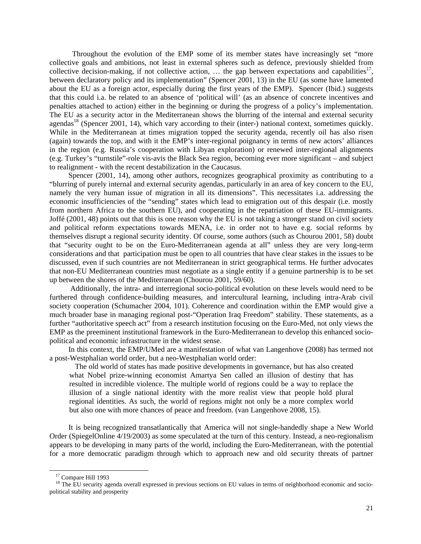Throughout the evolution of the EMP some of its member states have increasingly set "more collective goals and ambitions, not least in external spheres such as defence, previously shielded from collective decision-making, if not collective action,  $\dots$  the gap between expectations and capabilities<sup>17</sup>, between declaratory policy and its implementation" (Spencer 2001, 13) in the EU (as some have lamented about the EU as a foreign actor, especially during the first years of the EMP). Spencer (Ibid.) suggests that this could i.a. be related to an absence of 'political will' (as an absence of concrete incentives and penalties attached to action) either in the beginning or during the progress of a policy's implementation. The EU as a security actor in the Mediterranean shows the blurring of the internal and external security agendas<sup>18</sup> (Spencer 2001, 14), which vary according to their (inter-) national context, sometimes quickly. While in the Mediterranean at times migration topped the security agenda, recently oil has also risen (again) towards the top, and with it the EMP's inter-regional poignancy in terms of new actors' alliances in the region (e.g. Russia's cooperation with Libyan exploration) or renewed inter-regional alignments (e.g. Turkey's "turnstile"-role vis-avis the Black Sea region, becoming ever more significant – and subject to realignment - with the recent destabilization in the Caucasus.

Spencer (2001, 14), among other authors, recognizes geographical proximity as contributing to a "blurring of purely internal and external security agendas, particularly in an area of key concern to the EU, namely the very human issue of migration in all its dimensions". This necessitates i.a. addressing the economic insufficiencies of the "sending" states which lead to emigration out of this despair (i.e. mostly from northern Africa to the southern EU), and cooperating in the repatriation of these EU-immigrants. Joffé (2001, 48) points out that this is one reason why the EU is not taking a stronger stand on civil society and political reform expectations towards MENA, i.e. in order not to have e.g. social reforms by themselves disrupt a regional security identity. Of course, some authors (such as Chourou 2001, 58) doubt that "security ought to be on the Euro-Mediterranean agenda at all" unless they are very long-term considerations and that participation must be open to all countries that have clear stakes in the issues to be discussed, even if such countries are not Mediterranean in strict geographical terms. He further advocates that non-EU Mediterranean countries must negotiate as a single entity if a genuine partnership is to be set up between the shores of the Mediterranean (Chourou 2001, 59/60).

 Additionally, the intra- and interregional socio-political evolution on these levels would need to be furthered through confidence-building measures, and intercultural learning, including intra-Arab civil society cooperation (Schumacher 2004, 101). Coherence and coordination within the EMP would give a much broader base in managing regional post-"Operation Iraq Freedom" stability. These statements, as a further "authoritative speech act" from a research institution focusing on the Euro-Med, not only views the EMP as the preeminent institutional framework in the Euro-Mediterranean to develop this enhanced sociopolitical and economic infrastructure in the widest sense.

 In this context, the EMP/UMed are a manifestation of what van Langenhove (2008) has termed not a post-Westphalian world order, but a neo-Westphalian world order:

 The old world of states has made positive developments in governance, but has also created what Nobel prize-winning economist Amartya Sen called an illusion of destiny that has resulted in incredible violence. The multiple world of regions could be a way to replace the illusion of a single national identity with the more realist view that people hold plural regional identities. As such, the world of regions might not only be a more complex world but also one with more chances of peace and freedom. (van Langenhove 2008, 15).

 It is being recognized transatlantically that America will not single-handedly shape a New World Order (SpiegelOnline 4/19/2003) as some speculated at the turn of this century. Instead, a neo-regionalism appears to be developing in many parts of the world, including the Euro-Mediterranean, with the potential for a more democratic paradigm through which to approach new and old security threats of partner

l

<sup>&</sup>lt;sup>17</sup> Compare Hill 1993

<sup>&</sup>lt;sup>18</sup> The EU security agenda overall expressed in previous sections on EU values in terms of neighborhood economic and sociopolitical stability and prosperity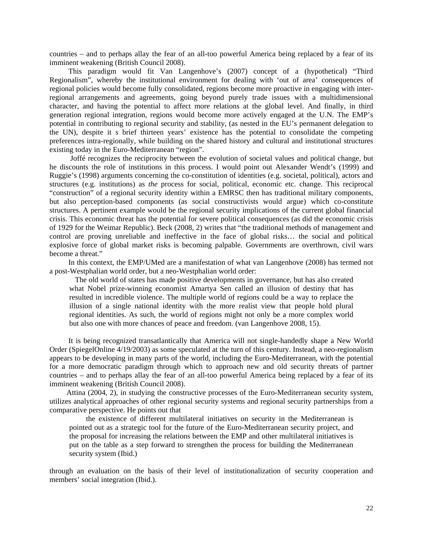countries – and to perhaps allay the fear of an all-too powerful America being replaced by a fear of its imminent weakening (British Council 2008).

 This paradigm would fit Van Langenhove's (2007) concept of a (hypothetical) "Third Regionalism", whereby the institutional environment for dealing with 'out of area' consequences of regional policies would become fully consolidated, regions become more proactive in engaging with interregional arrangements and agreements, going beyond purely trade issues with a multidimensional character, and having the potential to affect more relations at the global level. And finally, in third generation regional integration, regions would become more actively engaged at the U.N. The EMP's potential in contributing to regional security and stability, (as nested in the EU's permanent delegation to the UN), despite it s brief thirteen years' existence has the potential to consolidate the competing preferences intra-regionally, while building on the shared history and cultural and institutional structures existing today in the Euro-Mediterranean "region".

 Joffé recognizes the reciprocity between the evolution of societal values and political change, but he discounts the role of institutions in this process. I would point out Alexander Wendt's (1999) and Ruggie's (1998) arguments concerning the co-constitution of identities (e.g. societal, political), actors and structures (e.g. institutions) as *the* process for social, political, economic etc. change. This reciprocal "construction" of a regional security identity within a EMRSC then has traditional military components, but also perception-based components (as social constructivists would argue) which co-constitute structures. A pertinent example would be the regional security implications of the current global financial crisis. This economic threat has the potential for severe political consequences (as did the economic crisis of 1929 for the Weimar Republic). Beck (2008, 2) writes that "the traditional methods of management and control are proving unreliable and ineffective in the face of global risks… the social and political explosive force of global market risks is becoming palpable. Governments are overthrown, civil wars become a threat."

 In this context, the EMP/UMed are a manifestation of what van Langenhove (2008) has termed not a post-Westphalian world order, but a neo-Westphalian world order:

 The old world of states has made positive developments in governance, but has also created what Nobel prize-winning economist Amartya Sen called an illusion of destiny that has resulted in incredible violence. The multiple world of regions could be a way to replace the illusion of a single national identity with the more realist view that people hold plural regional identities. As such, the world of regions might not only be a more complex world but also one with more chances of peace and freedom. (van Langenhove 2008, 15).

 It is being recognized transatlantically that America will not single-handedly shape a New World Order (SpiegelOnline 4/19/2003) as some speculated at the turn of this century. Instead, a neo-regionalism appears to be developing in many parts of the world, including the Euro-Mediterranean, with the potential for a more democratic paradigm through which to approach new and old security threats of partner countries – and to perhaps allay the fear of an all-too powerful America being replaced by a fear of its imminent weakening (British Council 2008).

 Attina (2004, 2), in studying the constructive processes of the Euro-Mediterranean security system, utilizes analytical approaches of other regional security systems and regional security partnerships from a comparative perspective. He points out that

 the existence of different multilateral initiatives on security in the Mediterranean is pointed out as a strategic tool for the future of the Euro-Mediterranean security project, and the proposal for increasing the relations between the EMP and other multilateral initiatives is put on the table as a step forward to strengthen the process for building the Mediterranean security system (Ibid.)

through an evaluation on the basis of their level of institutionalization of security cooperation and members' social integration (Ibid.).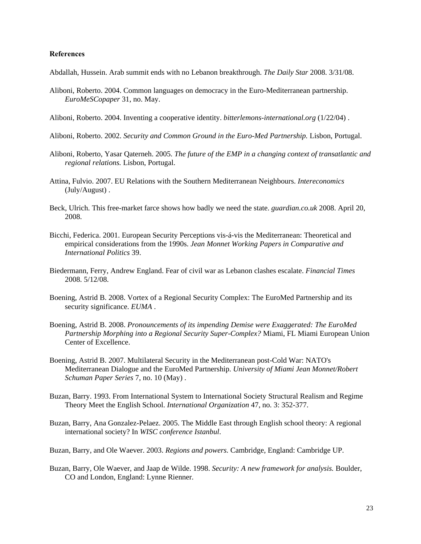#### **References**

Abdallah, Hussein. Arab summit ends with no Lebanon breakthrough. *The Daily Star* 2008. 3/31/08.

- Aliboni, Roberto. 2004. Common languages on democracy in the Euro-Mediterranean partnership. *EuroMeSCopaper* 31, no. May.
- Aliboni, Roberto. 2004. Inventing a cooperative identity. *bitterlemons-international.org* (1/22/04) .

Aliboni, Roberto. 2002. *Security and Common Ground in the Euro-Med Partnership.* Lisbon, Portugal.

- Aliboni, Roberto, Yasar Qaterneh. 2005. *The future of the EMP in a changing context of transatlantic and regional relations.* Lisbon, Portugal.
- Attina, Fulvio. 2007. EU Relations with the Southern Mediterranean Neighbours. *Intereconomics*  (July/August) .
- Beck, Ulrich. This free-market farce shows how badly we need the state. *guardian.co.uk* 2008. April 20, 2008.
- Bicchi, Federica. 2001. European Security Perceptions vis-á-vis the Mediterranean: Theoretical and empirical considerations from the 1990s. *Jean Monnet Working Papers in Comparative and International Politics* 39.
- Biedermann, Ferry, Andrew England. Fear of civil war as Lebanon clashes escalate. *Financial Times*  2008. 5/12/08.
- Boening, Astrid B. 2008. Vortex of a Regional Security Complex: The EuroMed Partnership and its security significance. *EUMA* .
- Boening, Astrid B. 2008. *Pronouncements of its impending Demise were Exaggerated: The EuroMed Partnership Morphing into a Regional Security Super-Complex?* Miami, FL Miami European Union Center of Excellence.
- Boening, Astrid B. 2007. Multilateral Security in the Mediterranean post-Cold War: NATO's Mediterranean Dialogue and the EuroMed Partnership. *University of Miami Jean Monnet/Robert Schuman Paper Series* 7, no. 10 (May) .
- Buzan, Barry. 1993. From International System to International Society Structural Realism and Regime Theory Meet the English School. *International Organization* 47, no. 3: 352-377.
- Buzan, Barry, Ana Gonzalez-Pelaez. 2005. The Middle East through English school theory: A regional international society? In *WISC conference Istanbul*.
- Buzan, Barry, and Ole Waever. 2003. *Regions and powers.* Cambridge, England: Cambridge UP.
- Buzan, Barry, Ole Waever, and Jaap de Wilde. 1998. *Security: A new framework for analysis.* Boulder, CO and London, England: Lynne Rienner.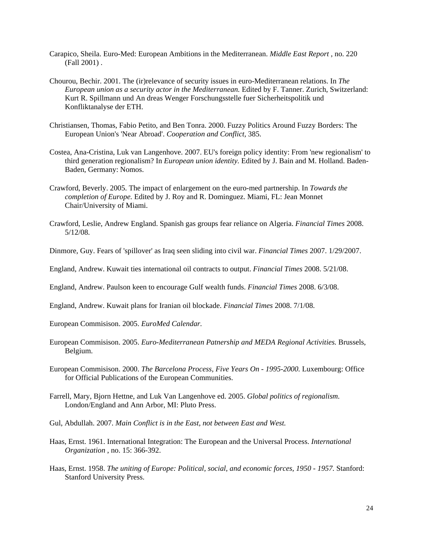- Carapico, Sheila. Euro-Med: European Ambitions in the Mediterranean. *Middle East Report* , no. 220 (Fall 2001) .
- Chourou, Bechir. 2001. The (ir)relevance of security issues in euro-Mediterranean relations. In *The European union as a security actor in the Mediterranean.* Edited by F. Tanner. Zurich, Switzerland: Kurt R. Spillmann und An dreas Wenger Forschungsstelle fuer Sicherheitspolitik und Konfliktanalyse der ETH.
- Christiansen, Thomas, Fabio Petito, and Ben Tonra. 2000. Fuzzy Politics Around Fuzzy Borders: The European Union's 'Near Abroad'. *Cooperation and Conflict,* 385.
- Costea, Ana-Cristina, Luk van Langenhove. 2007. EU's foreign policy identity: From 'new regionalism' to third generation regionalism? In *European union identity.* Edited by J. Bain and M. Holland. Baden-Baden, Germany: Nomos.
- Crawford, Beverly. 2005. The impact of enlargement on the euro-med partnership. In *Towards the completion of Europe.* Edited by J. Roy and R. Dominguez. Miami, FL: Jean Monnet Chair/University of Miami.
- Crawford, Leslie, Andrew England. Spanish gas groups fear reliance on Algeria. *Financial Times* 2008. 5/12/08.
- Dinmore, Guy. Fears of 'spillover' as Iraq seen sliding into civil war. *Financial Times* 2007. 1/29/2007.
- England, Andrew. Kuwait ties international oil contracts to output. *Financial Times* 2008. 5/21/08.
- England, Andrew. Paulson keen to encourage Gulf wealth funds. *Financial Times* 2008. 6/3/08.
- England, Andrew. Kuwait plans for Iranian oil blockade. *Financial Times* 2008. 7/1/08.
- European Commisison. 2005. *EuroMed Calendar.*
- European Commisison. 2005. *Euro-Mediterranean Patnership and MEDA Regional Activities.* Brussels, Belgium.
- European Commisison. 2000. *The Barcelona Process, Five Years On 1995-2000.* Luxembourg: Office for Official Publications of the European Communities.
- Farrell, Mary, Bjorn Hettne, and Luk Van Langenhove ed. 2005. *Global politics of regionalism.*  London/England and Ann Arbor, MI: Pluto Press.
- Gul, Abdullah. 2007. *Main Conflict is in the East, not between East and West.*
- Haas, Ernst. 1961. International Integration: The European and the Universal Process. *International Organization* , no. 15: 366-392.
- Haas, Ernst. 1958. *The uniting of Europe: Political, social, and economic forces, 1950 1957.* Stanford: Stanford University Press.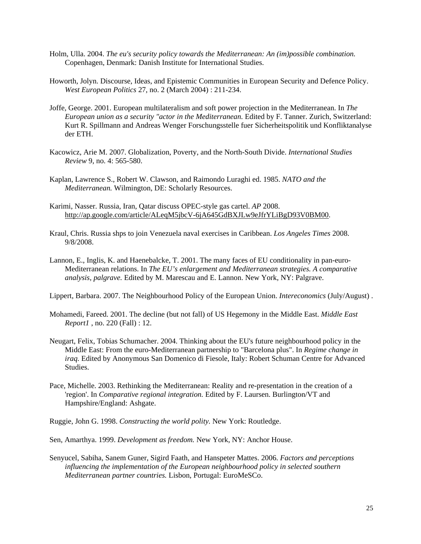- Holm, Ulla. 2004. *The eu's security policy towards the Mediterranean: An (im)possible combination.*  Copenhagen, Denmark: Danish Institute for International Studies.
- Howorth, Jolyn. Discourse, Ideas, and Epistemic Communities in European Security and Defence Policy. *West European Politics* 27, no. 2 (March 2004) : 211-234.
- Joffe, George. 2001. European multilateralism and soft power projection in the Mediterranean. In *The European union as a security "actor in the Mediterranean.* Edited by F. Tanner. Zurich, Switzerland: Kurt R. Spillmann and Andreas Wenger Forschungsstelle fuer Sicherheitspolitik und Konfliktanalyse der ETH.
- Kacowicz, Arie M. 2007. Globalization, Poverty, and the North-South Divide. *International Studies Review* 9, no. 4: 565-580.
- Kaplan, Lawrence S., Robert W. Clawson, and Raimondo Luraghi ed. 1985. *NATO and the Mediterranean.* Wilmington, DE: Scholarly Resources.
- Karimi, Nasser. Russia, Iran, Qatar discuss OPEC-style gas cartel. *AP* 2008. http://ap.google.com/article/ALeqM5jbcV-6jA645GdBXJLw9eJfrYLiBgD93V0BM00.
- Kraul, Chris. Russia shps to join Venezuela naval exercises in Caribbean. *Los Angeles Times* 2008. 9/8/2008.
- Lannon, E., Inglis, K. and Haenebalcke, T. 2001. The many faces of EU conditionality in pan-euro-Mediterranean relations. In *The EU's enlargement and Mediterranean strategies. A comparative analysis, palgrave.* Edited by M. Marescau and E. Lannon. New York, NY: Palgrave.

Lippert, Barbara. 2007. The Neighbourhood Policy of the European Union. *Intereconomics* (July/August) .

- Mohamedi, Fareed. 2001. The decline (but not fall) of US Hegemony in the Middle East. *Middle East Report1* , no. 220 (Fall) : 12.
- Neugart, Felix, Tobias Schumacher. 2004. Thinking about the EU's future neighbourhood policy in the Middle East: From the euro-Mediterranean partnership to "Barcelona plus". In *Regime change in iraq.* Edited by Anonymous San Domenico di Fiesole, Italy: Robert Schuman Centre for Advanced Studies.
- Pace, Michelle. 2003. Rethinking the Mediterranean: Reality and re-presentation in the creation of a 'region'. In *Comparative regional integration.* Edited by F. Laursen. Burlington/VT and Hampshire/England: Ashgate.

Ruggie, John G. 1998. *Constructing the world polity.* New York: Routledge.

- Sen, Amarthya. 1999. *Development as freedom.* New York, NY: Anchor House.
- Senyucel, Sabiha, Sanem Guner, Sigird Faath, and Hanspeter Mattes. 2006. *Factors and perceptions influencing the implementation of the European neighbourhood policy in selected southern Mediterranean partner countries.* Lisbon, Portugal: EuroMeSCo.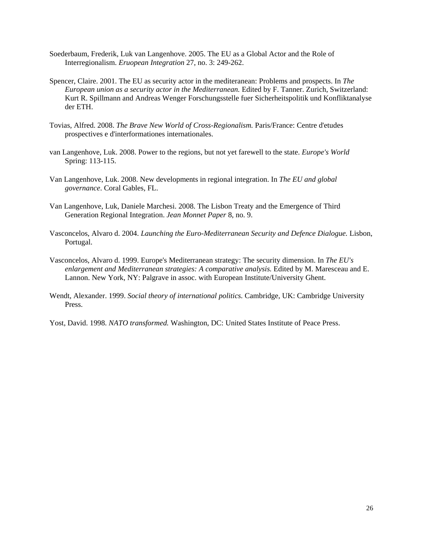- Soederbaum, Frederik, Luk van Langenhove. 2005. The EU as a Global Actor and the Role of Interregionalism. *Eruopean Integration* 27, no. 3: 249-262.
- Spencer, Claire. 2001. The EU as security actor in the mediteranean: Problems and prospects. In *The European union as a security actor in the Mediterranean.* Edited by F. Tanner. Zurich, Switzerland: Kurt R. Spillmann and Andreas Wenger Forschungsstelle fuer Sicherheitspolitik und Konfliktanalyse der ETH.
- Tovias, Alfred. 2008. *The Brave New World of Cross-Regionalism.* Paris/France: Centre d'etudes prospectives e d'interformationes internationales.
- van Langenhove, Luk. 2008. Power to the regions, but not yet farewell to the state. *Europe's World*  Spring: 113-115.
- Van Langenhove, Luk. 2008. New developments in regional integration. In *The EU and global governance*. Coral Gables, FL.
- Van Langenhove, Luk, Daniele Marchesi. 2008. The Lisbon Treaty and the Emergence of Third Generation Regional Integration. *Jean Monnet Paper* 8, no. 9.
- Vasconcelos, Alvaro d. 2004. *Launching the Euro-Mediterranean Security and Defence Dialogue.* Lisbon, Portugal.
- Vasconcelos, Alvaro d. 1999. Europe's Mediterranean strategy: The security dimension. In *The EU's enlargement and Mediterranean strategies: A comparative analysis.* Edited by M. Maresceau and E. Lannon. New York, NY: Palgrave in assoc. with European Institute/University Ghent.
- Wendt, Alexander. 1999. *Social theory of international politics.* Cambridge, UK: Cambridge University Press.
- Yost, David. 1998. *NATO transformed.* Washington, DC: United States Institute of Peace Press.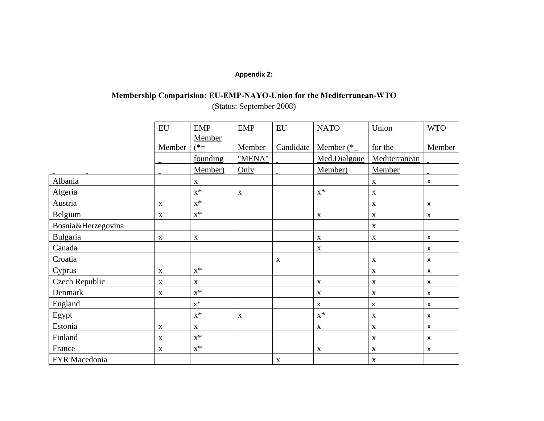## **Appendix 2:**

# **Membership Comparision: EU-EMP-NAYO-Union for the Mediterranean-WTO**  (Status: September 2008)

|                    | $E_{\text{U}}$            | <b>EMP</b>     | <b>EMP</b>  | $E_{\rm U}$ | <b>NATO</b>    | Union         | <b>WTO</b>                |
|--------------------|---------------------------|----------------|-------------|-------------|----------------|---------------|---------------------------|
|                    |                           | Member         |             |             |                |               |                           |
|                    | Member                    | $(*=$          | Member      | Candidate   | Member $(*_$   | for the       | Member                    |
|                    |                           | founding       | "MENA"      |             | Med.Dialgoue   | Mediterranean |                           |
|                    |                           | Member)        | Only        |             | Member)        | Member        |                           |
| Albania            |                           | $\mathbf{X}$   |             |             |                | $\mathbf X$   | X                         |
| Algeria            |                           | $\mathbf{x}^*$ | $\mathbf X$ |             | $\mathbf{x}^*$ | $\mathbf X$   |                           |
| Austria            | $\mathbf X$               | $\mathbf{x}^*$ |             |             |                | $\mathbf X$   | X                         |
| Belgium            | $\boldsymbol{\mathrm{X}}$ | $x^*$          |             |             | $\mathbf X$    | $\mathbf X$   | X                         |
| Bosnia&Herzegovina |                           |                |             |             |                | $\mathbf X$   |                           |
| Bulgaria           | $\mathbf X$               | $\mathbf X$    |             |             | $\mathbf X$    | $\mathbf X$   | X                         |
| Canada             |                           |                |             |             | $\mathbf X$    |               | $\boldsymbol{\mathsf{x}}$ |
| Croatia            |                           |                |             | X           |                | $\mathbf X$   | X                         |
| Cyprus             | $\mathbf X$               | $\mathbf{x}^*$ |             |             |                | $\mathbf X$   | $\boldsymbol{\mathsf{x}}$ |
| Czech Republic     | $\mathbf X$               | $\mathbf X$    |             |             | $\mathbf X$    | $\mathbf X$   | X                         |
| Denmark            | X                         | $x^*$          |             |             | $\mathbf X$    | $\mathbf X$   | X                         |
| England            |                           | $\mathsf{X}^*$ |             |             | X              | X             | $\boldsymbol{\mathsf{x}}$ |
| Egypt              |                           | $\mathbf{x}^*$ | $\mathbf X$ |             | $x^*$          | $\mathbf X$   | X                         |
| Estonia            | $\mathbf X$               | $\mathbf X$    |             |             | $\mathbf X$    | $\mathbf X$   | $\boldsymbol{\mathsf{x}}$ |
| Finland            | $\mathbf X$               | $x^*$          |             |             |                | $\mathbf{X}$  | X                         |
| France             | $\mathbf X$               | $\mathbf{x}^*$ |             |             | $\mathbf X$    | $\mathbf X$   | $\boldsymbol{\mathsf{x}}$ |
| FYR Macedonia      |                           |                |             | $\mathbf X$ |                | $\mathbf X$   |                           |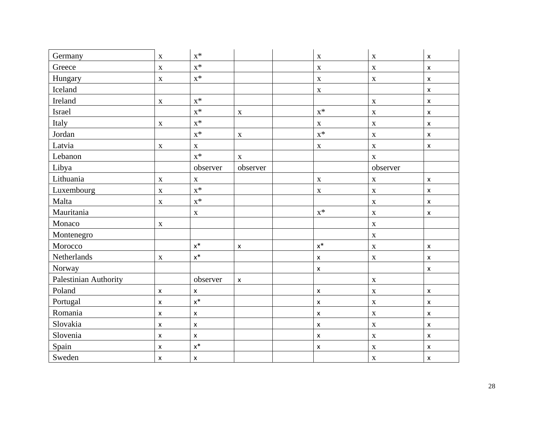| Germany               | $\mathbf X$    | $\mathbf{x}^*$     |                    | $\mathbf X$    | $\mathbf X$ | X                  |
|-----------------------|----------------|--------------------|--------------------|----------------|-------------|--------------------|
| Greece                | $\mathbf X$    | $X^*$              |                    | $\mathbf X$    | $\mathbf X$ | X                  |
| Hungary               | $\mathbf X$    | $\mathbf{x}^*$     |                    | $\mathbf X$    | $\mathbf X$ | $\pmb{\mathsf{x}}$ |
| Iceland               |                |                    |                    | $\mathbf X$    |             | X                  |
| Ireland               | $\mathbf X$    | $\mathbf{x}^*$     |                    |                | $\mathbf X$ | $\pmb{\mathsf{x}}$ |
| Israel                |                | $X^*$              | $\mathbf X$        | $x^*$          | $\mathbf X$ | $\pmb{\mathsf{x}}$ |
| Italy                 | $\mathbf X$    | $\mathbf{x}^*$     |                    | $\mathbf X$    | $\mathbf X$ | X                  |
| Jordan                |                | $\mathbf{x}^*$     | $\mathbf X$        | $\mathbf{x}^*$ | $\mathbf X$ | $\pmb{\mathsf{X}}$ |
| Latvia                | $\mathbf X$    | $\mathbf X$        |                    | $\mathbf X$    | $\mathbf X$ | $\pmb{\mathsf{x}}$ |
| Lebanon               |                | $\mathbf{x}^*$     | $\mathbf X$        |                | $\mathbf X$ |                    |
| Libya                 |                | observer           | observer           |                | observer    |                    |
| Lithuania             | $\mathbf X$    | $\mathbf X$        |                    | $\mathbf X$    | $\mathbf X$ | X                  |
| Luxembourg            | $\mathbf X$    | $\mathbf{x}^*$     |                    | $\mathbf X$    | $\mathbf X$ | X                  |
| Malta                 | $\mathbf X$    | $X^*$              |                    |                | $\mathbf X$ | $\pmb{\mathsf{x}}$ |
| Mauritania            |                | $\mathbf X$        |                    | $\mathbf{x}^*$ | $\mathbf X$ | $\pmb{\mathsf{x}}$ |
| Monaco                | $\mathbf X$    |                    |                    |                | $\mathbf X$ |                    |
| Montenegro            |                |                    |                    |                | $\mathbf X$ |                    |
| Morocco               |                | $\mathsf{X}^*$     | $\pmb{\mathsf{X}}$ | $x^*$          | $\mathbf X$ | x                  |
| Netherlands           | $\mathbf X$    | $\mathsf{x}^*$     |                    | X              | $\mathbf X$ | $\pmb{\mathsf{x}}$ |
| Norway                |                |                    |                    | $\pmb{\times}$ |             | $\pmb{\mathsf{x}}$ |
| Palestinian Authority |                | observer           | $\pmb{\mathsf{x}}$ |                | $\mathbf X$ |                    |
| Poland                | $\pmb{\times}$ | $\pmb{\mathsf{x}}$ |                    | $\pmb{\times}$ | $\mathbf X$ | $\pmb{\mathsf{x}}$ |
| Portugal              | $\pmb{\times}$ | $\mathsf{x}^*$     |                    | $\pmb{\times}$ | $\mathbf X$ | $\pmb{\mathsf{x}}$ |
| Romania               | $\pmb{\times}$ | $\pmb{\mathsf{X}}$ |                    | x              | $\mathbf X$ | x                  |
| Slovakia              | $\pmb{\times}$ | $\pmb{\times}$     |                    | $\pmb{\times}$ | $\mathbf X$ | $\pmb{\times}$     |
| Slovenia              | $\pmb{\times}$ | $\pmb{\mathsf{x}}$ |                    | $\pmb{\times}$ | $\mathbf X$ | $\pmb{\mathsf{x}}$ |
| Spain                 | $\pmb{\times}$ | $x^*$              |                    | x              | $\mathbf X$ | x                  |
| Sweden                | $\pmb{\times}$ | $\pmb{\mathsf{x}}$ |                    |                | $\mathbf X$ | X                  |